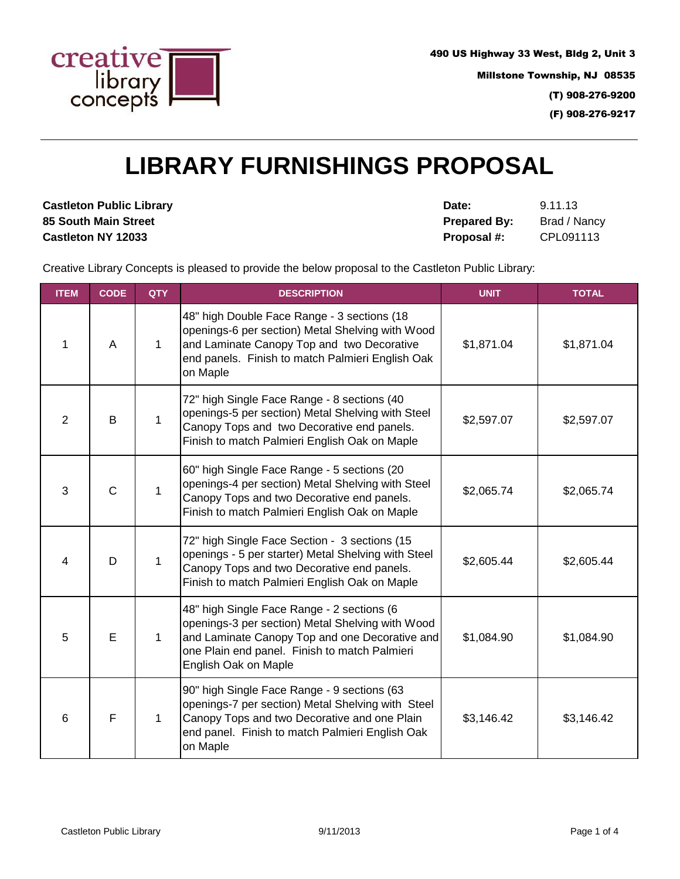

490 US Highway 33 West, Bldg 2, Unit 3 Millstone Township, NJ 08535 (T) 908-276-9200

(F) 908-276-9217

## **LIBRARY FURNISHINGS PROPOSAL**

**Castleton Public Library <b>Date:** 9.11.13

**85 South Main Street Prepared By:** Brad / Nancy **Castleton NY 12033 Proposal #:** CPL091113

Creative Library Concepts is pleased to provide the below proposal to the Castleton Public Library:

| <b>ITEM</b>    | <b>CODE</b>    | <b>QTY</b>   | <b>DESCRIPTION</b>                                                                                                                                                                                                        | <b>UNIT</b> | <b>TOTAL</b> |
|----------------|----------------|--------------|---------------------------------------------------------------------------------------------------------------------------------------------------------------------------------------------------------------------------|-------------|--------------|
| 1              | A              | 1            | 48" high Double Face Range - 3 sections (18<br>openings-6 per section) Metal Shelving with Wood<br>and Laminate Canopy Top and two Decorative<br>end panels. Finish to match Palmieri English Oak<br>on Maple             | \$1,871.04  | \$1,871.04   |
| $\overline{2}$ | B              | $\mathbf{1}$ | 72" high Single Face Range - 8 sections (40<br>openings-5 per section) Metal Shelving with Steel<br>Canopy Tops and two Decorative end panels.<br>Finish to match Palmieri English Oak on Maple                           | \$2,597.07  | \$2,597.07   |
| 3              | $\overline{C}$ | $\mathbf{1}$ | 60" high Single Face Range - 5 sections (20<br>openings-4 per section) Metal Shelving with Steel<br>Canopy Tops and two Decorative end panels.<br>Finish to match Palmieri English Oak on Maple                           | \$2,065.74  | \$2,065.74   |
| 4              | D              | $\mathbf{1}$ | 72" high Single Face Section - 3 sections (15<br>openings - 5 per starter) Metal Shelving with Steel<br>Canopy Tops and two Decorative end panels.<br>Finish to match Palmieri English Oak on Maple                       | \$2,605.44  | \$2,605.44   |
| 5              | E              | $\mathbf{1}$ | 48" high Single Face Range - 2 sections (6<br>openings-3 per section) Metal Shelving with Wood<br>and Laminate Canopy Top and one Decorative and<br>one Plain end panel. Finish to match Palmieri<br>English Oak on Maple | \$1,084.90  | \$1,084.90   |
| 6              | F              | $\mathbf{1}$ | 90" high Single Face Range - 9 sections (63<br>openings-7 per section) Metal Shelving with Steel<br>Canopy Tops and two Decorative and one Plain<br>end panel. Finish to match Palmieri English Oak<br>on Maple           | \$3,146.42  | \$3,146.42   |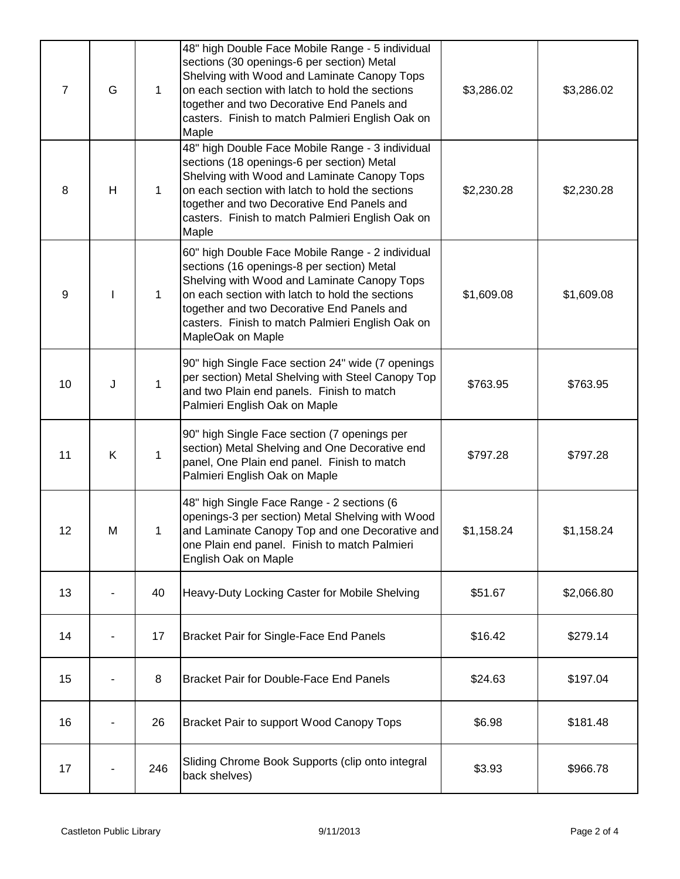| $\overline{7}$ | G | 1   | 48" high Double Face Mobile Range - 5 individual<br>sections (30 openings-6 per section) Metal<br>Shelving with Wood and Laminate Canopy Tops<br>on each section with latch to hold the sections<br>together and two Decorative End Panels and<br>casters. Finish to match Palmieri English Oak on<br>Maple             | \$3,286.02 | \$3,286.02 |
|----------------|---|-----|-------------------------------------------------------------------------------------------------------------------------------------------------------------------------------------------------------------------------------------------------------------------------------------------------------------------------|------------|------------|
| 8              | H | 1   | 48" high Double Face Mobile Range - 3 individual<br>sections (18 openings-6 per section) Metal<br>Shelving with Wood and Laminate Canopy Tops<br>on each section with latch to hold the sections<br>together and two Decorative End Panels and<br>casters. Finish to match Palmieri English Oak on<br>Maple             | \$2,230.28 | \$2,230.28 |
| 9              |   | 1   | 60" high Double Face Mobile Range - 2 individual<br>sections (16 openings-8 per section) Metal<br>Shelving with Wood and Laminate Canopy Tops<br>on each section with latch to hold the sections<br>together and two Decorative End Panels and<br>casters. Finish to match Palmieri English Oak on<br>MapleOak on Maple | \$1,609.08 | \$1,609.08 |
| 10             | J | 1   | 90" high Single Face section 24" wide (7 openings<br>per section) Metal Shelving with Steel Canopy Top<br>and two Plain end panels. Finish to match<br>Palmieri English Oak on Maple                                                                                                                                    | \$763.95   | \$763.95   |
| 11             | K | 1   | 90" high Single Face section (7 openings per<br>section) Metal Shelving and One Decorative end<br>panel, One Plain end panel. Finish to match<br>Palmieri English Oak on Maple                                                                                                                                          | \$797.28   | \$797.28   |
| 12             | M | 1   | 48" high Single Face Range - 2 sections (6<br>openings-3 per section) Metal Shelving with Wood<br>and Laminate Canopy Top and one Decorative and<br>one Plain end panel. Finish to match Palmieri<br>English Oak on Maple                                                                                               | \$1,158.24 | \$1,158.24 |
| 13             |   | 40  | Heavy-Duty Locking Caster for Mobile Shelving                                                                                                                                                                                                                                                                           | \$51.67    | \$2,066.80 |
| 14             |   | 17  | <b>Bracket Pair for Single-Face End Panels</b>                                                                                                                                                                                                                                                                          | \$16.42    | \$279.14   |
| 15             |   | 8   | <b>Bracket Pair for Double-Face End Panels</b>                                                                                                                                                                                                                                                                          | \$24.63    | \$197.04   |
| 16             |   | 26  | Bracket Pair to support Wood Canopy Tops                                                                                                                                                                                                                                                                                | \$6.98     | \$181.48   |
| 17             |   | 246 | Sliding Chrome Book Supports (clip onto integral<br>back shelves)                                                                                                                                                                                                                                                       | \$3.93     | \$966.78   |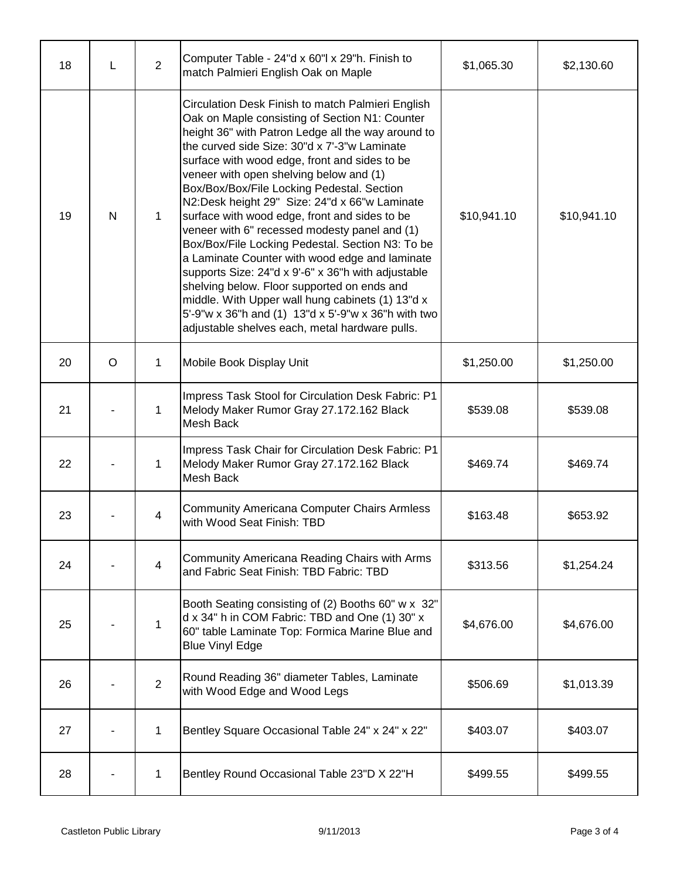| 18 | L | $\overline{2}$ | Computer Table - 24"d x 60"l x 29"h. Finish to<br>match Palmieri English Oak on Maple                                                                                                                                                                                                                                                                                                                                                                                                                                                                                                                                                                                                                                                                                                                                                                                          | \$1,065.30  | \$2,130.60  |
|----|---|----------------|--------------------------------------------------------------------------------------------------------------------------------------------------------------------------------------------------------------------------------------------------------------------------------------------------------------------------------------------------------------------------------------------------------------------------------------------------------------------------------------------------------------------------------------------------------------------------------------------------------------------------------------------------------------------------------------------------------------------------------------------------------------------------------------------------------------------------------------------------------------------------------|-------------|-------------|
| 19 | N | $\mathbf{1}$   | Circulation Desk Finish to match Palmieri English<br>Oak on Maple consisting of Section N1: Counter<br>height 36" with Patron Ledge all the way around to<br>the curved side Size: 30"d x 7'-3"w Laminate<br>surface with wood edge, front and sides to be<br>veneer with open shelving below and (1)<br>Box/Box/Box/File Locking Pedestal. Section<br>N2:Desk height 29" Size: 24"d x 66"w Laminate<br>surface with wood edge, front and sides to be<br>veneer with 6" recessed modesty panel and (1)<br>Box/Box/File Locking Pedestal. Section N3: To be<br>a Laminate Counter with wood edge and laminate<br>supports Size: 24"d x 9'-6" x 36"h with adjustable<br>shelving below. Floor supported on ends and<br>middle. With Upper wall hung cabinets (1) 13"d x<br>5'-9"w x 36"h and (1) 13"d x 5'-9"w x 36"h with two<br>adjustable shelves each, metal hardware pulls. | \$10,941.10 | \$10,941.10 |
| 20 | O | $\mathbf{1}$   | Mobile Book Display Unit                                                                                                                                                                                                                                                                                                                                                                                                                                                                                                                                                                                                                                                                                                                                                                                                                                                       | \$1,250.00  | \$1,250.00  |
| 21 |   | 1              | Impress Task Stool for Circulation Desk Fabric: P1<br>Melody Maker Rumor Gray 27.172.162 Black<br>Mesh Back                                                                                                                                                                                                                                                                                                                                                                                                                                                                                                                                                                                                                                                                                                                                                                    | \$539.08    | \$539.08    |
| 22 |   | 1              | Impress Task Chair for Circulation Desk Fabric: P1<br>Melody Maker Rumor Gray 27.172.162 Black<br>Mesh Back                                                                                                                                                                                                                                                                                                                                                                                                                                                                                                                                                                                                                                                                                                                                                                    | \$469.74    | \$469.74    |
| 23 |   | $\overline{4}$ | <b>Community Americana Computer Chairs Armless</b><br>with Wood Seat Finish: TBD                                                                                                                                                                                                                                                                                                                                                                                                                                                                                                                                                                                                                                                                                                                                                                                               | \$163.48    | \$653.92    |
| 24 |   | $\overline{4}$ | Community Americana Reading Chairs with Arms<br>and Fabric Seat Finish: TBD Fabric: TBD                                                                                                                                                                                                                                                                                                                                                                                                                                                                                                                                                                                                                                                                                                                                                                                        | \$313.56    | \$1,254.24  |
| 25 |   | 1              | Booth Seating consisting of (2) Booths 60" w x 32"<br>d x 34" h in COM Fabric: TBD and One (1) 30" x<br>60" table Laminate Top: Formica Marine Blue and<br><b>Blue Vinyl Edge</b>                                                                                                                                                                                                                                                                                                                                                                                                                                                                                                                                                                                                                                                                                              | \$4,676.00  | \$4,676.00  |
| 26 |   | $\overline{2}$ | Round Reading 36" diameter Tables, Laminate<br>with Wood Edge and Wood Legs                                                                                                                                                                                                                                                                                                                                                                                                                                                                                                                                                                                                                                                                                                                                                                                                    | \$506.69    | \$1,013.39  |
| 27 |   | $\mathbf{1}$   | Bentley Square Occasional Table 24" x 24" x 22"                                                                                                                                                                                                                                                                                                                                                                                                                                                                                                                                                                                                                                                                                                                                                                                                                                | \$403.07    | \$403.07    |
| 28 |   | $\mathbf{1}$   | Bentley Round Occasional Table 23"D X 22"H                                                                                                                                                                                                                                                                                                                                                                                                                                                                                                                                                                                                                                                                                                                                                                                                                                     | \$499.55    | \$499.55    |